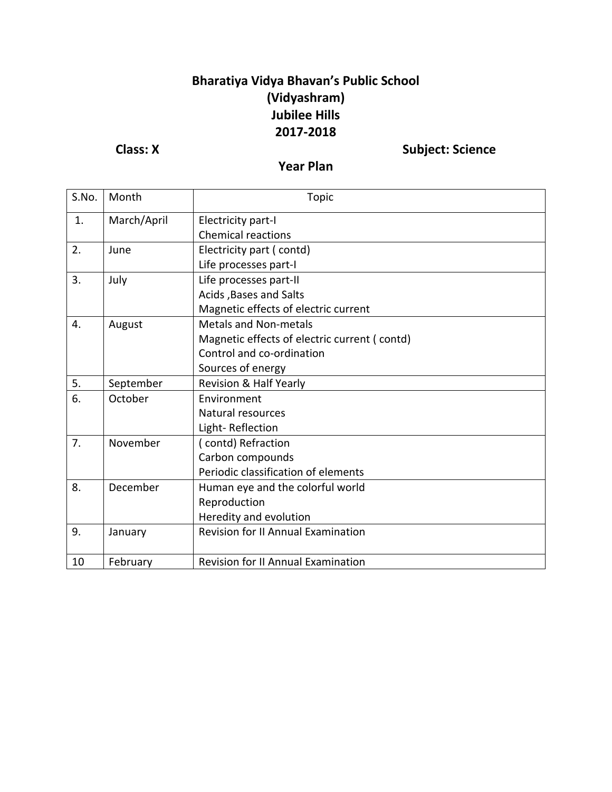## **Bharatiya Vidya Bhavan's Public School (Vidyashram) Jubilee Hills 2017-2018**

**Class: X** Subject: Science

**Year Plan**

| S.No. | Month       | <b>Topic</b>                                 |
|-------|-------------|----------------------------------------------|
| 1.    | March/April | Electricity part-I                           |
|       |             | <b>Chemical reactions</b>                    |
| 2.    | June        | Electricity part (contd)                     |
|       |             | Life processes part-I                        |
| 3.    | July        | Life processes part-II                       |
|       |             | Acids, Bases and Salts                       |
|       |             | Magnetic effects of electric current         |
| 4.    | August      | <b>Metals and Non-metals</b>                 |
|       |             | Magnetic effects of electric current (contd) |
|       |             | Control and co-ordination                    |
|       |             | Sources of energy                            |
| 5.    | September   | Revision & Half Yearly                       |
| 6.    | October     | Environment                                  |
|       |             | Natural resources                            |
|       |             | Light-Reflection                             |
| 7.    | November    | (contd) Refraction                           |
|       |             | Carbon compounds                             |
|       |             | Periodic classification of elements          |
| 8.    | December    | Human eye and the colorful world             |
|       |             | Reproduction                                 |
|       |             | Heredity and evolution                       |
| 9.    | January     | <b>Revision for II Annual Examination</b>    |
| 10    | February    | <b>Revision for II Annual Examination</b>    |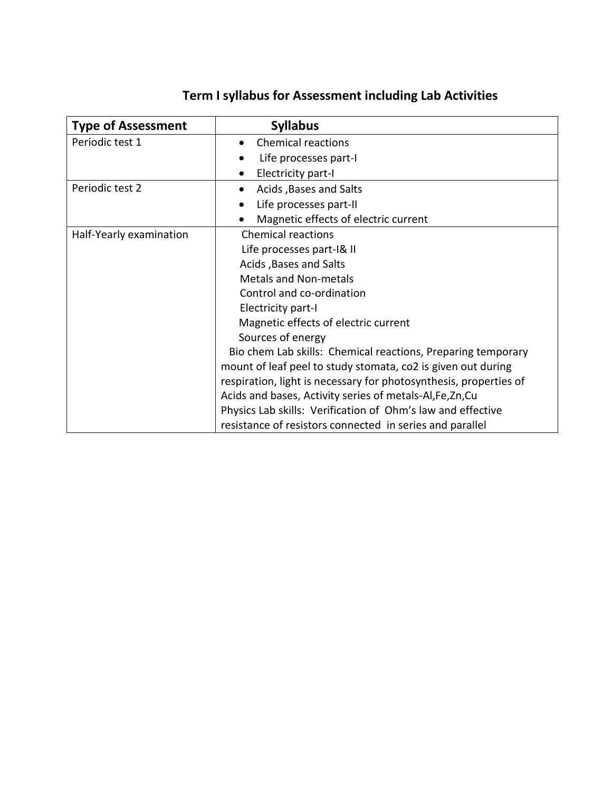| <b>Type of Assessment</b> | <b>Syllabus</b>                                                   |
|---------------------------|-------------------------------------------------------------------|
| Periodic test 1           | <b>Chemical reactions</b>                                         |
|                           | Life processes part-I                                             |
|                           | Electricity part-I                                                |
| Periodic test 2           | Acids, Bases and Salts                                            |
|                           | Life processes part-II                                            |
|                           | Magnetic effects of electric current                              |
| Half-Yearly examination   | <b>Chemical reactions</b>                                         |
|                           | Life processes part-I& II                                         |
|                           | Acids, Bases and Salts                                            |
|                           | <b>Metals and Non-metals</b>                                      |
|                           | Control and co-ordination                                         |
|                           | Electricity part-I                                                |
|                           | Magnetic effects of electric current                              |
|                           | Sources of energy                                                 |
|                           | Bio chem Lab skills: Chemical reactions, Preparing temporary      |
|                           | mount of leaf peel to study stomata, co2 is given out during      |
|                           | respiration, light is necessary for photosynthesis, properties of |
|                           | Acids and bases, Activity series of metals-Al, Fe, Zn, Cu         |
|                           | Physics Lab skills: Verification of Ohm's law and effective       |
|                           | resistance of resistors connected in series and parallel          |

## **Term I syllabus for Assessment including Lab Activities**